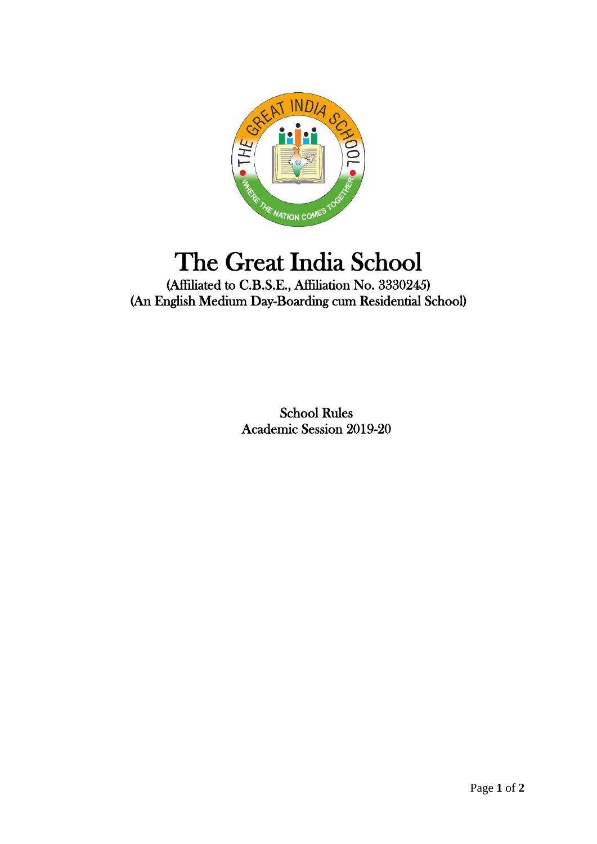

## The Great India School

(Affiliated to C.B.S.E., Affiliation No. 3330245) (An English Medium Day-Boarding cum Residential School)

> School Rules Academic Session 2019-20